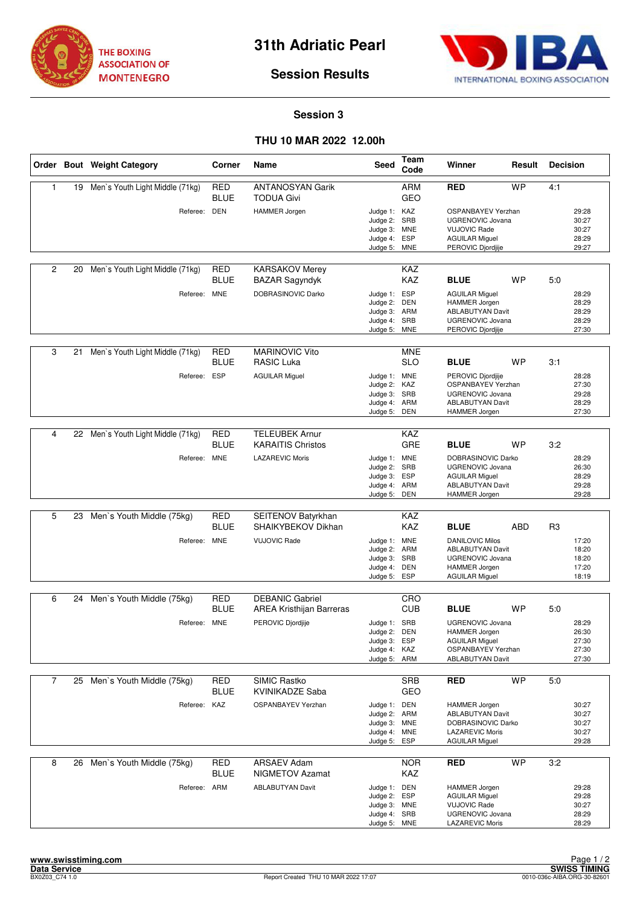



## **Session Results**

## **Session 3**

## **THU 10 MAR 2022 12.00h**

|              |    | Order Bout Weight Category         | Corner                    | Name                                                | <b>Seed</b>                                                                  | Team<br>Code                    | Winner                                                                                                                        | Result     | <b>Decision</b> |                                           |
|--------------|----|------------------------------------|---------------------------|-----------------------------------------------------|------------------------------------------------------------------------------|---------------------------------|-------------------------------------------------------------------------------------------------------------------------------|------------|-----------------|-------------------------------------------|
| $\mathbf{1}$ | 19 | Men's Youth Light Middle (71kg)    | <b>RED</b><br><b>BLUE</b> | <b>ANTANOSYAN Garik</b><br><b>TODUA Givi</b>        |                                                                              | <b>ARM</b><br>GEO               | <b>RED</b>                                                                                                                    | <b>WP</b>  | 4:1             |                                           |
|              |    | Referee: DEN                       |                           | <b>HAMMER Jorgen</b>                                | Judge 1: KAZ<br>Judge 2:<br>Judge 3: MNE<br>Judge 4:<br>Judge 5:             | SRB<br><b>ESP</b><br><b>MNE</b> | OSPANBAYEV Yerzhan<br><b>UGRENOVIC Jovana</b><br><b>VUJOVIC Rade</b><br><b>AGUILAR Miguel</b><br>PEROVIC Djordjije            |            |                 | 29:28<br>30:27<br>30:27<br>28:29<br>29:27 |
| 2            | 20 | Men's Youth Light Middle (71kg)    | <b>RED</b><br>BLUE        | <b>KARSAKOV Merey</b><br><b>BAZAR Sagyndyk</b>      |                                                                              | <b>KAZ</b><br>KAZ               | <b>BLUE</b>                                                                                                                   | <b>WP</b>  | 5:0             |                                           |
|              |    | Referee: MNE                       |                           | DOBRASINOVIC Darko                                  | Judge 1: ESP<br>Judge 2:<br>Judge 3: ARM<br>Judge 4:<br>Judge 5:             | <b>DEN</b><br>SRB<br><b>MNE</b> | <b>AGUILAR Miguel</b><br><b>HAMMER Jorgen</b><br><b>ABLABUTYAN Davit</b><br><b>UGRENOVIC Jovana</b><br>PEROVIC Djordjije      |            |                 | 28:29<br>28:29<br>28:29<br>28:29<br>27:30 |
| 3            | 21 | Men's Youth Light Middle (71kg)    | <b>RED</b><br>BLUE        | <b>MARINOVIC Vito</b><br>RASIC Luka                 |                                                                              | <b>MNE</b><br><b>SLO</b>        | <b>BLUE</b>                                                                                                                   | <b>WP</b>  | 3:1             |                                           |
|              |    | Referee: ESP                       |                           | <b>AGUILAR Miguel</b>                               | Judge 1: MNE<br>Judge 2: KAZ<br>Judge 3:<br>Judge 4: ARM<br>Judge 5:         | SRB<br>DEN                      | PEROVIC Djordjije<br><b>OSPANBAYEV Yerzhan</b><br><b>UGRENOVIC Jovana</b><br><b>ABLABUTYAN Davit</b><br>HAMMER Jorgen         |            |                 | 28:28<br>27:30<br>29:28<br>28:29<br>27:30 |
|              |    |                                    |                           |                                                     |                                                                              |                                 |                                                                                                                               |            |                 |                                           |
| 4            |    | 22 Men's Youth Light Middle (71kg) | RED<br><b>BLUE</b>        | <b>TELEUBEK Arnur</b><br><b>KARAITIS Christos</b>   |                                                                              | <b>KAZ</b><br>GRE               | <b>BLUE</b>                                                                                                                   | WP         | 3:2             |                                           |
|              |    | Referee: MNE                       |                           | <b>LAZAREVIC Moris</b>                              | Judge 1: MNE<br>Judge 2: SRB<br>Judge 3:<br>Judge 4: ARM<br>Judge 5:         | <b>ESP</b><br><b>DEN</b>        | DOBRASINOVIC Darko<br><b>UGRENOVIC Jovana</b><br><b>AGUILAR Miguel</b><br>ABLABUTYAN Davit<br><b>HAMMER Jorgen</b>            |            |                 | 28:29<br>26:30<br>28:29<br>29:28<br>29:28 |
|              |    |                                    |                           |                                                     |                                                                              |                                 |                                                                                                                               |            |                 |                                           |
| 5            | 23 | Men's Youth Middle (75kg)          | RED<br>BLUE               | SEITENOV Batyrkhan<br>SHAIKYBEKOV Dikhan            |                                                                              | KAZ<br><b>KAZ</b>               | <b>BLUE</b>                                                                                                                   | <b>ABD</b> | R <sub>3</sub>  |                                           |
|              |    | Referee: MNE                       |                           | <b>VUJOVIC Rade</b>                                 | Judge 1: MNE<br>Judge 2:<br>Judge 3: SRB<br>Judge 4:<br>Judge 5:             | ARM<br>DEN<br>ESP               | <b>DANILOVIC Milos</b><br><b>ABLABUTYAN Davit</b><br><b>UGRENOVIC Jovana</b><br><b>HAMMER Jorgen</b><br><b>AGUILAR Miguel</b> |            |                 | 17:20<br>18:20<br>18:20<br>17:20<br>18:19 |
| 6            | 24 | Men's Youth Middle (75kg)          | <b>RED</b>                | <b>DEBANIC Gabriel</b>                              |                                                                              | CRO                             |                                                                                                                               |            |                 |                                           |
|              |    |                                    | <b>BLUE</b>               | <b>AREA Kristhijan Barreras</b>                     |                                                                              | <b>CUB</b>                      | <b>BLUE</b>                                                                                                                   | <b>WP</b>  | 5:0             |                                           |
|              |    | Referee: MNE                       |                           | PEROVIC Djordjije                                   | Judge 1: SRB<br>Judge 2: DEN<br>Judge 3: ESP<br>Judge 4: KAZ<br>Judge 5: ARM |                                 | <b>UGRENOVIC Jovana</b><br><b>HAMMER Jorgen</b><br><b>AGUILAR Miguel</b><br>OSPANBAYEV Yerzhan<br><b>ABLABUTYAN Davit</b>     |            |                 | 28:29<br>26:30<br>27:30<br>27:30<br>27:30 |
| 7            | 25 | Men's Youth Middle (75kg)          | <b>RED</b>                | <b>SIMIC Rastko</b>                                 |                                                                              | <b>SRB</b>                      | <b>RED</b>                                                                                                                    | <b>WP</b>  | 5:0             |                                           |
|              |    |                                    | BLUE                      | <b>KVINIKADZE Saba</b><br><b>OSPANBAYEV Yerzhan</b> |                                                                              | GEO                             |                                                                                                                               |            |                 |                                           |
|              |    | Referee: KAZ                       |                           |                                                     | Judge 1: DEN<br>Judge 2: ARM<br>Judge 3: MNE<br>Judge 4: MNE<br>Judge 5:     | ESP                             | <b>HAMMER Jorgen</b><br><b>ABLABUTYAN Davit</b><br>DOBRASINOVIC Darko<br><b>LAZAREVIC Moris</b><br><b>AGUILAR Miguel</b>      |            |                 | 30:27<br>30:27<br>30:27<br>30:27<br>29:28 |
| 8            |    | 26 Men's Youth Middle (75kg)       | <b>RED</b><br><b>BLUE</b> | <b>ARSAEV Adam</b><br><b>NIGMETOV Azamat</b>        |                                                                              | <b>NOR</b><br>KAZ               | <b>RED</b>                                                                                                                    | <b>WP</b>  | 3:2             |                                           |
|              |    | Referee: ARM                       |                           | <b>ABLABUTYAN Davit</b>                             | Judge 1: DEN<br>Judge 2: ESP<br>Judge 3: MNE<br>Judge 4: SRB<br>Judge 5: MNE |                                 | <b>HAMMER Jorgen</b><br><b>AGUILAR Miguel</b><br><b>VUJOVIC Rade</b><br>UGRENOVIC Jovana<br><b>LAZAREVIC Moris</b>            |            |                 | 29:28<br>29:28<br>30:27<br>28:29<br>28:29 |